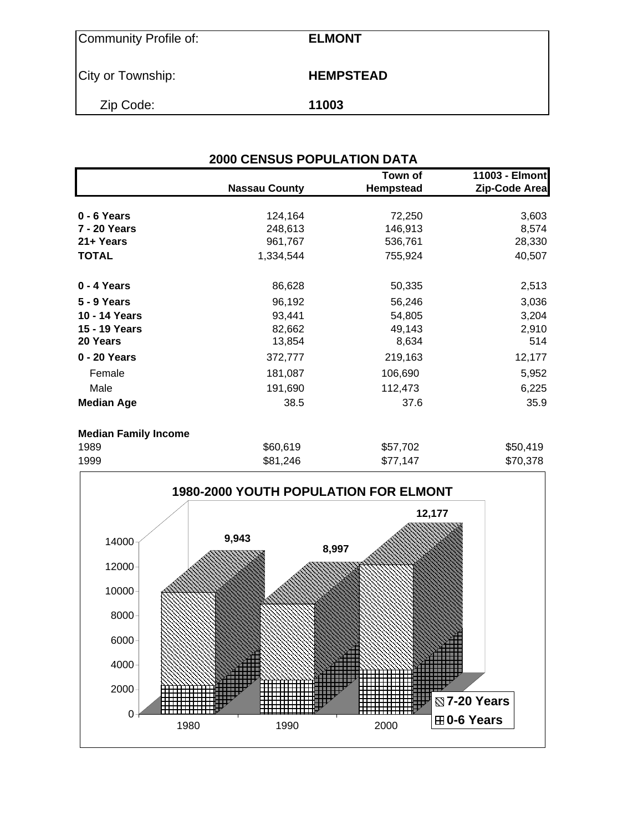| Community Profile of: | <b>ELMONT</b>    |
|-----------------------|------------------|
| City or Township:     | <b>HEMPSTEAD</b> |
| Zip Code:             | 11003            |

|                             | <b>2000 CENSUS POPULATION DATA</b> |                             |                                 |
|-----------------------------|------------------------------------|-----------------------------|---------------------------------|
|                             | <b>Nassau County</b>               | Town of<br><b>Hempstead</b> | 11003 - Elmont<br>Zip-Code Area |
| $0 - 6$ Years               | 124,164                            | 72,250                      | 3,603                           |
| 7 - 20 Years                | 248,613                            | 146,913                     | 8,574                           |
| 21+ Years                   | 961,767                            | 536,761                     | 28,330                          |
| <b>TOTAL</b>                | 1,334,544                          | 755,924                     | 40,507                          |
| 0 - 4 Years                 | 86,628                             | 50,335                      | 2,513                           |
| 5 - 9 Years                 | 96,192                             | 56,246                      | 3,036                           |
| 10 - 14 Years               | 93,441                             | 54,805                      | 3,204                           |
| 15 - 19 Years               | 82,662                             | 49,143                      | 2,910                           |
| 20 Years                    | 13,854                             | 8,634                       | 514                             |
| 0 - 20 Years                | 372,777                            | 219,163                     | 12,177                          |
| Female                      | 181,087                            | 106,690                     | 5,952                           |
| Male                        | 191,690                            | 112,473                     | 6,225                           |
| <b>Median Age</b>           | 38.5                               | 37.6                        | 35.9                            |
| <b>Median Family Income</b> |                                    |                             |                                 |
| 1989                        | \$60,619                           | \$57,702                    | \$50,419                        |

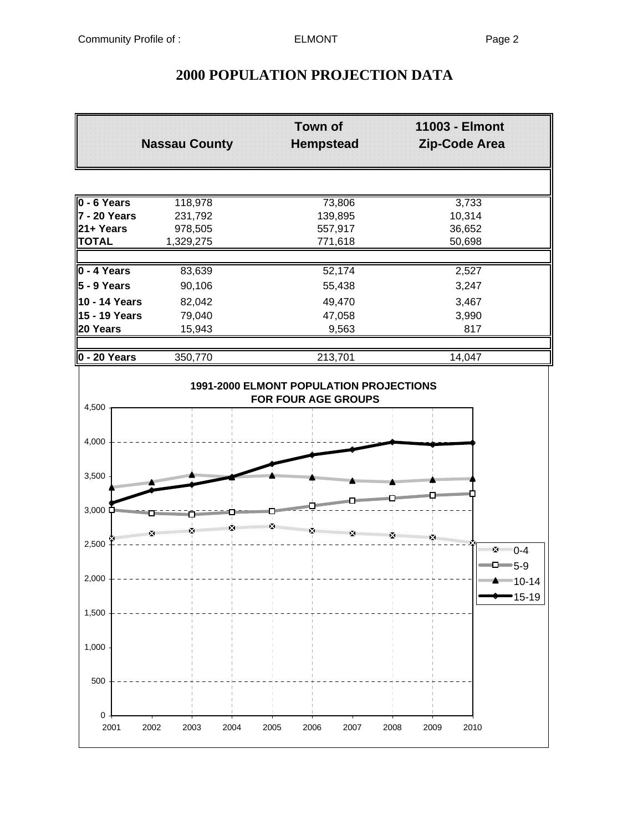|                                                                | <b>Nassau County</b>           | Town of<br><b>Hempstead</b> | 11003 - Elmont<br>Zip-Code Area |
|----------------------------------------------------------------|--------------------------------|-----------------------------|---------------------------------|
| 0 - 6 Years                                                    | 118,978                        | 73,806                      | 3,733                           |
| 7 - 20 Years                                                   | 231,792                        | 139,895                     | 10,314                          |
| 21+ Years                                                      | 978,505                        | 557,917                     | 36,652                          |
| <b>TOTAL</b>                                                   | 1,329,275                      | 771,618                     | 50,698                          |
| 0 - 4 Years                                                    | 83,639                         | 52,174                      | 2,527                           |
| $5 - 9$ Years                                                  | 90,106                         | 55,438                      | 3,247                           |
| 10 - 14 Years                                                  | 82,042                         | 49,470                      | 3,467                           |
| 15 - 19 Years                                                  | 79,040                         | 47,058                      | 3,990                           |
| 20 Years                                                       | 15,943                         | 9,563                       | 817                             |
| 0 - 20 Years                                                   | 350,770                        | 213,701                     | 14,047                          |
|                                                                |                                | FOR FOUR AGE GROUPS         |                                 |
| 4,500                                                          |                                |                             |                                 |
|                                                                |                                |                             |                                 |
|                                                                |                                |                             |                                 |
|                                                                | <b>STATE OF THE OWNER WHEN</b> |                             |                                 |
| ।<br>दुःस्टब्स् अ∑र                                            |                                | ×<br>x<br>™™∑र              | ×                               |
|                                                                |                                |                             | $\Sigma = 0 - 4$<br>$0 - 5 - 9$ |
|                                                                |                                |                             | $15 - 19$                       |
| 2,000<br>1,500                                                 |                                |                             |                                 |
|                                                                |                                |                             |                                 |
| 4,000<br>3,500<br>3,000 $\ddot{\Box}$<br>2,500<br>1,000<br>500 |                                |                             |                                 |

## **2000 POPULATION PROJECTION DATA**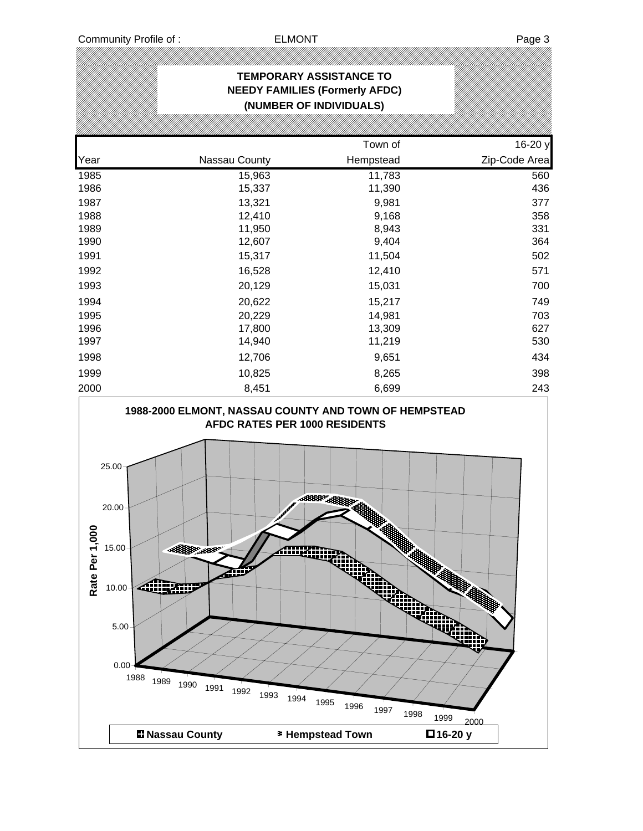Community Profile of : The SECONT ELMONT Page 3

|                         | <b>TEMPORARY ASSISTANCE TO</b> |                                       |               |  |  |  |  |  |  |  |  |  |
|-------------------------|--------------------------------|---------------------------------------|---------------|--|--|--|--|--|--|--|--|--|
|                         |                                |                                       |               |  |  |  |  |  |  |  |  |  |
|                         |                                | <b>NEEDY FAMILIES (Formerly AFDC)</b> |               |  |  |  |  |  |  |  |  |  |
| (NUMBER OF INDIVIDUALS) |                                |                                       |               |  |  |  |  |  |  |  |  |  |
|                         |                                |                                       |               |  |  |  |  |  |  |  |  |  |
|                         |                                | Town of                               | 16-20 y       |  |  |  |  |  |  |  |  |  |
| Year                    | Nassau County                  | Hempstead                             | Zip-Code Area |  |  |  |  |  |  |  |  |  |
| 1985                    | 15,963                         | 11,783                                | 560           |  |  |  |  |  |  |  |  |  |
| 1986                    | 15,337                         | 11,390                                | 436           |  |  |  |  |  |  |  |  |  |
| 1987                    | 13,321                         | 9,981                                 | 377           |  |  |  |  |  |  |  |  |  |
| 1988                    | 12,410                         | 9,168                                 | 358           |  |  |  |  |  |  |  |  |  |
| 1989                    | 11,950                         | 8,943                                 | 331           |  |  |  |  |  |  |  |  |  |
| 1990                    | 12,607                         | 9,404                                 | 364           |  |  |  |  |  |  |  |  |  |
| 1991                    | 15,317                         | 11,504                                | 502           |  |  |  |  |  |  |  |  |  |
| 1992                    | 16,528                         | 12,410                                | 571           |  |  |  |  |  |  |  |  |  |
| 1993                    | 20,129                         | 15,031                                | 700           |  |  |  |  |  |  |  |  |  |
| 1994                    | 20,622                         | 15,217                                | 749           |  |  |  |  |  |  |  |  |  |
| 1995                    | 20,229                         | 14,981                                | 703           |  |  |  |  |  |  |  |  |  |
| 1996                    | 17,800                         | 13,309                                | 627           |  |  |  |  |  |  |  |  |  |
| 1997                    | 14,940                         | 11,219                                | 530           |  |  |  |  |  |  |  |  |  |
| 1998                    | 12,706                         | 9,651                                 | 434           |  |  |  |  |  |  |  |  |  |
| 1999                    | 10,825                         | 8,265                                 | 398           |  |  |  |  |  |  |  |  |  |
| 2000                    | 8,451                          | 6,699                                 | 243           |  |  |  |  |  |  |  |  |  |

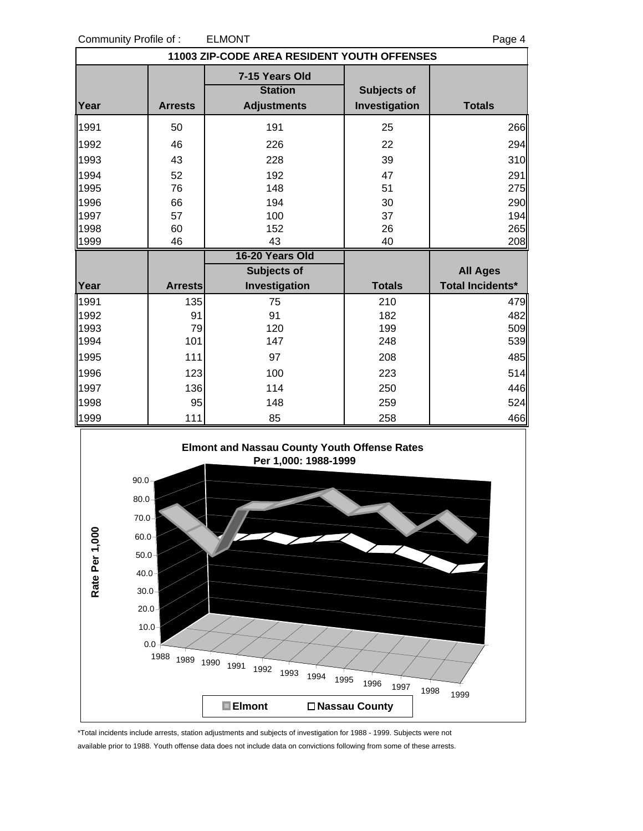Community Profile of : ELMONT **Page 4** 

|      | 11003 ZIP-CODE AREA RESIDENT YOUTH OFFENSES |                                                        |                              |                         |  |  |  |  |  |
|------|---------------------------------------------|--------------------------------------------------------|------------------------------|-------------------------|--|--|--|--|--|
| Year | <b>Arrests</b>                              | 7-15 Years Old<br><b>Station</b><br><b>Adjustments</b> | Subjects of<br>Investigation | <b>Totals</b>           |  |  |  |  |  |
| 1991 | 50                                          | 191                                                    | 25                           | 266                     |  |  |  |  |  |
| 1992 | 46                                          | 226                                                    | 22                           | 294                     |  |  |  |  |  |
| 1993 | 43                                          | 228                                                    | 39                           | 310                     |  |  |  |  |  |
| 1994 | 52                                          | 192                                                    | 47                           | 291                     |  |  |  |  |  |
| 1995 | 76                                          | 148                                                    | 51                           | 275                     |  |  |  |  |  |
| 1996 | 66                                          | 194                                                    | 30                           | 290                     |  |  |  |  |  |
| 1997 | 57                                          | 100                                                    | 37                           | 194                     |  |  |  |  |  |
| 1998 | 60                                          | 152                                                    | 26                           | 265                     |  |  |  |  |  |
| 1999 | 46                                          | 43                                                     | 40                           | 208                     |  |  |  |  |  |
|      |                                             | 16-20 Years Old                                        |                              |                         |  |  |  |  |  |
|      |                                             | Subjects of                                            |                              | <b>All Ages</b>         |  |  |  |  |  |
| Year | <b>Arrests</b>                              | Investigation                                          | <b>Totals</b>                | <b>Total Incidents*</b> |  |  |  |  |  |
| 1991 | 135                                         | 75                                                     | 210                          | 479                     |  |  |  |  |  |
| 1992 | 91                                          | 91                                                     | 182                          | 482                     |  |  |  |  |  |
| 1993 | 79                                          | 120                                                    | 199                          | 509                     |  |  |  |  |  |
| 1994 | 101                                         | 147                                                    | 248                          | 539                     |  |  |  |  |  |
| 1995 | 111                                         | 97                                                     | 208                          | 485                     |  |  |  |  |  |
| 1996 | 123                                         | 100                                                    | 223                          | 514                     |  |  |  |  |  |
| 1997 | 136                                         | 114                                                    | 250                          | 446                     |  |  |  |  |  |
| 1998 | 95                                          | 148                                                    | 259                          | 524                     |  |  |  |  |  |
| 1999 | 111                                         | 85                                                     | 258                          | <b>466</b>              |  |  |  |  |  |



\*Total incidents include arrests, station adjustments and subjects of investigation for 1988 - 1999. Subjects were not available prior to 1988. Youth offense data does not include data on convictions following from some of these arrests.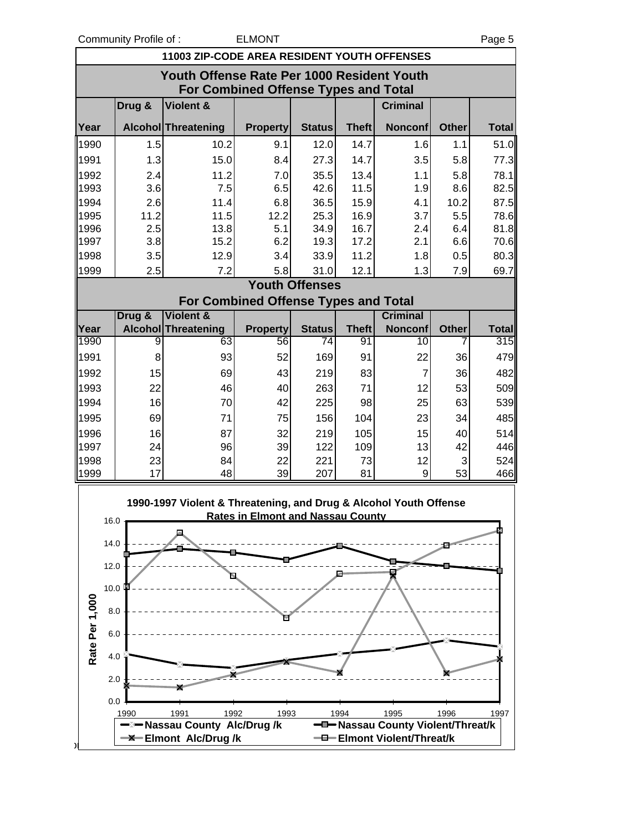Community Profile of : COMENT ELMONT Page 5

|                | 11003 ZIP-CODE AREA RESIDENT YOUTH OFFENSES                                               |                                                                   |                                             |                       |              |                                   |              |                     |  |  |  |  |
|----------------|-------------------------------------------------------------------------------------------|-------------------------------------------------------------------|---------------------------------------------|-----------------------|--------------|-----------------------------------|--------------|---------------------|--|--|--|--|
|                | Youth Offense Rate Per 1000 Resident Youth<br><b>For Combined Offense Types and Total</b> |                                                                   |                                             |                       |              |                                   |              |                     |  |  |  |  |
|                | Drug &                                                                                    | Violent &                                                         |                                             |                       |              | <b>Criminal</b>                   |              |                     |  |  |  |  |
| Year           |                                                                                           | Alcohol Threatening                                               | <b>Property</b>                             | <b>Status</b>         | <b>Theft</b> | <b>Nonconf</b>                    | <b>Other</b> | <b>Total</b>        |  |  |  |  |
| 1990           | 1.5                                                                                       | 10.2                                                              | 9.1                                         | 12.0                  | 14.7         | 1.6                               | 1.1          | 51.0                |  |  |  |  |
| 1991           | 1.3                                                                                       | 15.0                                                              | 8.4                                         | 27.3                  | 14.7         | 3.5                               | 5.8          | 77.3                |  |  |  |  |
| 1992           | 2.4                                                                                       | 11.2                                                              | 7.0                                         | 35.5                  | 13.4         | 1.1                               | 5.8          | 78.1                |  |  |  |  |
| 1993           | 3.6                                                                                       | 7.5                                                               | 6.5                                         | 42.6                  | 11.5         | 1.9                               | 8.6          | 82.5                |  |  |  |  |
| 1994           | 2.6                                                                                       | 11.4                                                              | 6.8                                         | 36.5                  | 15.9         | 4.1                               | 10.2         | 87.5                |  |  |  |  |
| 1995           | 11.2                                                                                      | 11.5                                                              | 12.2                                        | 25.3                  | 16.9         | 3.7                               | 5.5          | 78.6                |  |  |  |  |
| 1996           | 2.5                                                                                       | 13.8                                                              | 5.1                                         | 34.9                  | 16.7         | 2.4                               | 6.4          | 81.8                |  |  |  |  |
| 1997           | 3.8                                                                                       | 15.2                                                              | 6.2                                         | 19.3                  | 17.2         | 2.1                               | 6.6          | 70.6                |  |  |  |  |
| 1998           | 3.5                                                                                       | 12.9                                                              | 3.4                                         | 33.9                  | 11.2         | 1.8                               | 0.5          | 80.3                |  |  |  |  |
| 1999           | 2.5                                                                                       | 7.2                                                               | 5.8                                         | 31.0                  | 12.1         | 1.3                               | 7.9          | 69.7                |  |  |  |  |
|                |                                                                                           |                                                                   |                                             | <b>Youth Offenses</b> |              |                                   |              |                     |  |  |  |  |
|                |                                                                                           |                                                                   | <b>For Combined Offense Types and Total</b> |                       |              |                                   |              |                     |  |  |  |  |
|                | Drug &                                                                                    | Violent &                                                         |                                             |                       |              | <b>Criminal</b>                   |              |                     |  |  |  |  |
| Year           |                                                                                           | Alcohol Threatening                                               | <b>Property</b>                             | <b>Status</b>         | <b>Theft</b> | <b>Nonconf</b>                    | Other        | <b>Total</b><br>315 |  |  |  |  |
| 1990           | 9                                                                                         | 63                                                                | 56                                          | 74                    | 91           | 10                                |              |                     |  |  |  |  |
| 1991           | 8                                                                                         | 93                                                                | 52                                          | 169                   | 91           | 22                                | 36           | 479                 |  |  |  |  |
| 1992           | 15                                                                                        | 69                                                                | 43                                          | 219                   | 83           | $\overline{7}$                    | 36           | 482                 |  |  |  |  |
| 1993           | 22                                                                                        | 46                                                                | 40                                          | 263                   | 71           | 12                                | 53           | 509                 |  |  |  |  |
| 1994           | 16                                                                                        | 70                                                                | 42                                          | 225                   | 98           | 25                                | 63           | 539                 |  |  |  |  |
| 1995           | 69                                                                                        | 71                                                                | 75                                          | 156                   | 104          | 23                                | 34           | 485                 |  |  |  |  |
| 1996           | 16                                                                                        | 87                                                                | 32                                          | 219                   | 105          | 15                                | 40           | 514                 |  |  |  |  |
| 1997           | 24                                                                                        | 96                                                                | 39                                          | 122                   | 109          | 13                                | 42           | 446                 |  |  |  |  |
| 1998           | 23                                                                                        | 84                                                                | 22                                          | 221                   | 73           | 12                                | 3            | 524                 |  |  |  |  |
| 1999           | 17                                                                                        | 48                                                                | 39                                          | 207                   | 81           | 9                                 | 53           | 466                 |  |  |  |  |
| 16.0           |                                                                                           | 1990-1997 Violent & Threatening, and Drug & Alcohol Youth Offense | Ratos in Flmont and Nassau County           |                       |              |                                   |              |                     |  |  |  |  |
| 14.0           |                                                                                           |                                                                   |                                             |                       |              |                                   |              |                     |  |  |  |  |
|                |                                                                                           |                                                                   |                                             |                       |              |                                   |              |                     |  |  |  |  |
| 12.0           |                                                                                           |                                                                   |                                             |                       |              |                                   |              |                     |  |  |  |  |
| 10.0           |                                                                                           |                                                                   |                                             |                       |              |                                   |              |                     |  |  |  |  |
|                |                                                                                           |                                                                   |                                             |                       |              |                                   |              |                     |  |  |  |  |
|                | 8.0                                                                                       |                                                                   |                                             |                       |              |                                   |              |                     |  |  |  |  |
|                | 6.0                                                                                       |                                                                   |                                             |                       |              |                                   |              |                     |  |  |  |  |
| Rate Per 1,000 | 4.0                                                                                       |                                                                   |                                             |                       |              |                                   |              |                     |  |  |  |  |
|                | 2.0                                                                                       |                                                                   |                                             |                       |              |                                   |              |                     |  |  |  |  |
|                | 0.0                                                                                       |                                                                   |                                             |                       |              |                                   |              |                     |  |  |  |  |
|                | 1990                                                                                      | 1991<br>1992                                                      | 1993                                        |                       | 1994         | 1995                              | 1996         | 1997                |  |  |  |  |
|                |                                                                                           | -Massau County Alc/Drug /k                                        |                                             |                       |              | -D-Nassau County Violent/Threat/k |              |                     |  |  |  |  |
|                |                                                                                           | -X-Elmont Alc/Drug/k                                              |                                             |                       |              | - Elmont Violent/Threat/k         |              |                     |  |  |  |  |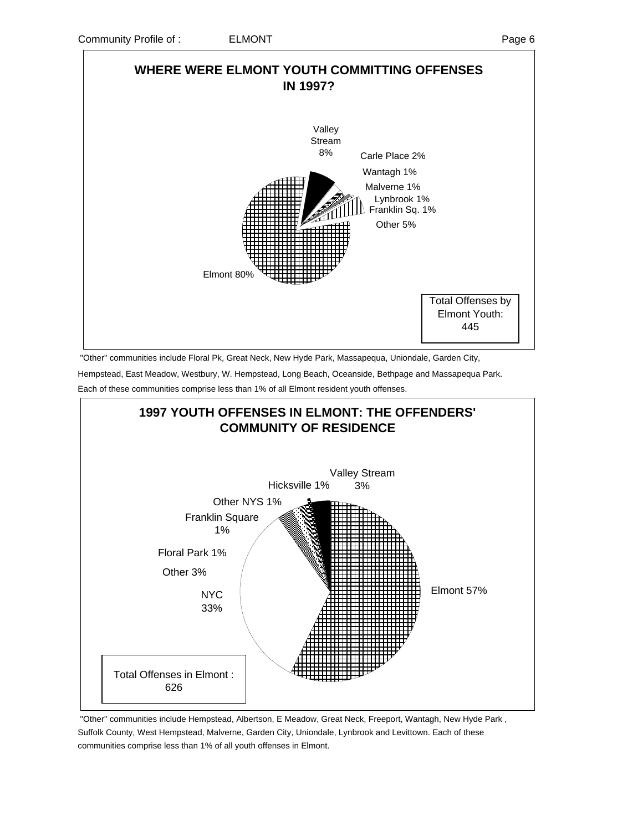

"Other" communities include Floral Pk, Great Neck, New Hyde Park, Massapequa, Uniondale, Garden City,

Hempstead, East Meadow, Westbury, W. Hempstead, Long Beach, Oceanside, Bethpage and Massapequa Park.

Each of these communities comprise less than 1% of all Elmont resident youth offenses.



 "Other" communities include Hempstead, Albertson, E Meadow, Great Neck, Freeport, Wantagh, New Hyde Park , Suffolk County, West Hempstead, Malverne, Garden City, Uniondale, Lynbrook and Levittown. Each of these communities comprise less than 1% of all youth offenses in Elmont.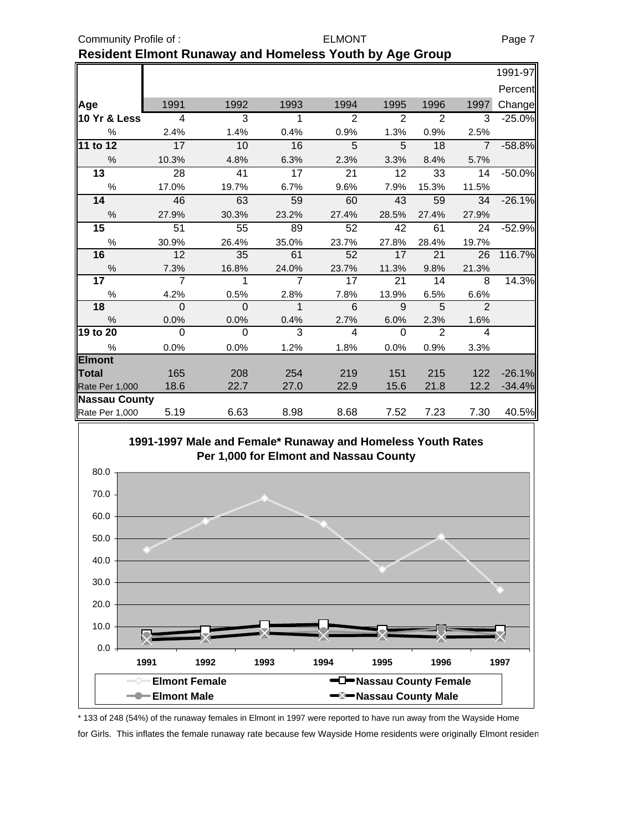Community Profile of : The Second School and School ELMONT Frage 7

### **Resident Elmont Runaway and Homeless Youth by Age Group**

|                      |                |                |                |                         |          |                |                | 1991-97  |
|----------------------|----------------|----------------|----------------|-------------------------|----------|----------------|----------------|----------|
|                      |                |                |                |                         |          |                |                | Percent  |
| Age                  | 1991           | 1992           | 1993           | 1994                    | 1995     | 1996           | 1997           | Change   |
| 10 Yr & Less         | $\overline{4}$ | $\overline{3}$ | 1              | $\overline{2}$          | 2        | $\overline{2}$ | 3              | $-25.0%$ |
| $\%$                 | 2.4%           | 1.4%           | 0.4%           | 0.9%                    | 1.3%     | 0.9%           | 2.5%           |          |
| 11 to 12             | 17             | 10             | 16             | 5                       | 5        | 18             | $\overline{7}$ | $-58.8%$ |
| $\frac{0}{0}$        | 10.3%          | 4.8%           | 6.3%           | 2.3%                    | 3.3%     | 8.4%           | 5.7%           |          |
| 13                   | 28             | 41             | 17             | 21                      | 12       | 33             | 14             | $-50.0%$ |
| $\%$                 | 17.0%          | 19.7%          | 6.7%           | 9.6%                    | 7.9%     | 15.3%          | 11.5%          |          |
| 14                   | 46             | 63             | 59             | 60                      | 43       | 59             | 34             | $-26.1%$ |
| $\%$                 | 27.9%          | 30.3%          | 23.2%          | 27.4%                   | 28.5%    | 27.4%          | 27.9%          |          |
| $\overline{15}$      | 51             | 55             | 89             | 52                      | 42       | 61             | 24             | $-52.9%$ |
| $\%$                 | 30.9%          | 26.4%          | 35.0%          | 23.7%                   | 27.8%    | 28.4%          | 19.7%          |          |
| 16                   | 12             | 35             | 61             | 52                      | 17       | 21             | 26             | 116.7%   |
| $\%$                 | 7.3%           | 16.8%          | 24.0%          | 23.7%                   | 11.3%    | 9.8%           | 21.3%          |          |
| $\overline{17}$      | $\overline{7}$ | 1              | $\overline{7}$ | 17                      | 21       | 14             | 8              | 14.3%    |
| $\%$                 | 4.2%           | 0.5%           | 2.8%           | 7.8%                    | 13.9%    | 6.5%           | 6.6%           |          |
| 18                   | $\mathbf 0$    | $\mathbf 0$    | $\mathbf 1$    | 6                       | 9        | 5              | $\overline{2}$ |          |
| %                    | 0.0%           | 0.0%           | 0.4%           | 2.7%                    | 6.0%     | 2.3%           | 1.6%           |          |
| 19 to 20             | $\overline{0}$ | $\Omega$       | 3              | $\overline{\mathbf{4}}$ | $\Omega$ | $\overline{2}$ | $\overline{4}$ |          |
| $\%$                 | 0.0%           | 0.0%           | 1.2%           | 1.8%                    | 0.0%     | 0.9%           | 3.3%           |          |
| <b>Elmont</b>        |                |                |                |                         |          |                |                |          |
| <b>Total</b>         | 165            | 208            | 254            | 219                     | 151      | 215            | 122            | $-26.1%$ |
| Rate Per 1,000       | 18.6           | 22.7           | 27.0           | 22.9                    | 15.6     | 21.8           | 12.2           | $-34.4%$ |
| <b>Nassau County</b> |                |                |                |                         |          |                |                |          |
| Rate Per 1,000       | 5.19           | 6.63           | 8.98           | 8.68                    | 7.52     | 7.23           | 7.30           | 40.5%    |



\* 133 of 248 (54%) of the runaway females in Elmont in 1997 were reported to have run away from the Wayside Home for Girls. This inflates the female runaway rate because few Wayside Home residents were originally Elmont residen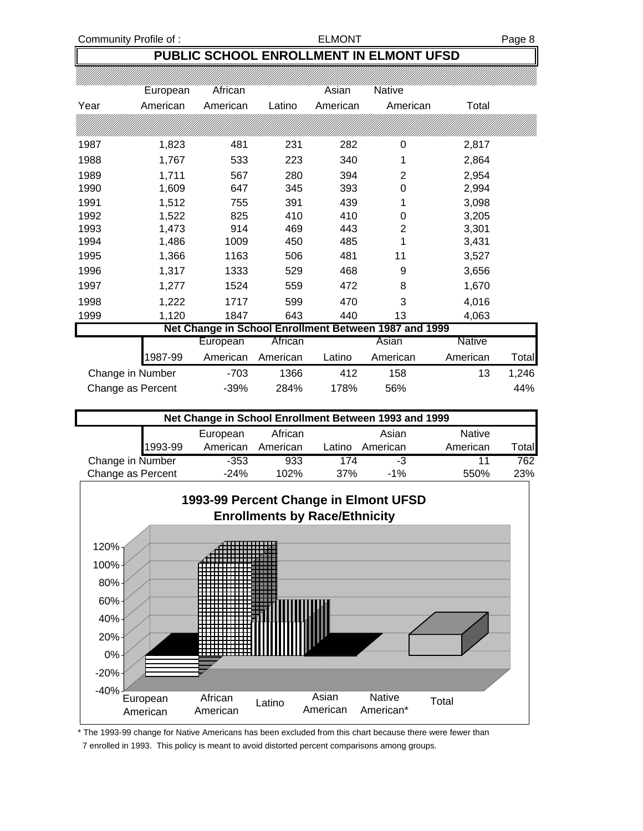Community Profile of : The Second Second LEMONT Framework of the Page 8

## **PUBLIC SCHOOL ENROLLMENT IN ELMONT UFSD**

|                   | European | African  |          | Asian    | <b>Native</b>                                         |               |       |
|-------------------|----------|----------|----------|----------|-------------------------------------------------------|---------------|-------|
| Year              | American | American | Latino   | American | American                                              | Total         |       |
|                   |          |          |          |          |                                                       |               |       |
| 1987              | 1,823    | 481      | 231      | 282      | 0                                                     | 2,817         |       |
| 1988              | 1,767    | 533      | 223      | 340      | 1                                                     | 2,864         |       |
| 1989              | 1,711    | 567      | 280      | 394      | 2                                                     | 2,954         |       |
| 1990              | 1,609    | 647      | 345      | 393      | 0                                                     | 2,994         |       |
| 1991              | 1,512    | 755      | 391      | 439      | 1                                                     | 3,098         |       |
| 1992              | 1,522    | 825      | 410      | 410      | 0                                                     | 3,205         |       |
| 1993              | 1,473    | 914      | 469      | 443      | 2                                                     | 3,301         |       |
| 1994              | 1,486    | 1009     | 450      | 485      |                                                       | 3,431         |       |
| 1995              | 1,366    | 1163     | 506      | 481      | 11                                                    | 3,527         |       |
| 1996              | 1,317    | 1333     | 529      | 468      | 9                                                     | 3,656         |       |
| 1997              | 1,277    | 1524     | 559      | 472      | 8                                                     | 1,670         |       |
| 1998              | 1,222    | 1717     | 599      | 470      | 3                                                     | 4,016         |       |
| 1999              | 1,120    | 1847     | 643      | 440      | 13                                                    | 4,063         |       |
|                   |          |          |          |          | Net Change in School Enrollment Between 1987 and 1999 |               |       |
|                   |          | European | African  |          | Asian                                                 | <b>Native</b> |       |
|                   | 1987-99  | American | American | Latino   | American                                              | American      | Total |
| Change in Number  |          | $-703$   | 1366     | 412      | 158                                                   | 13            | 1,246 |
| Change as Percent |          | $-39%$   | 284%     | 178%     | 56%                                                   |               | 44%   |





\* The 1993-99 change for Native Americans has been excluded from this chart because there were fewer than 7 enrolled in 1993. This policy is meant to avoid distorted percent comparisons among groups.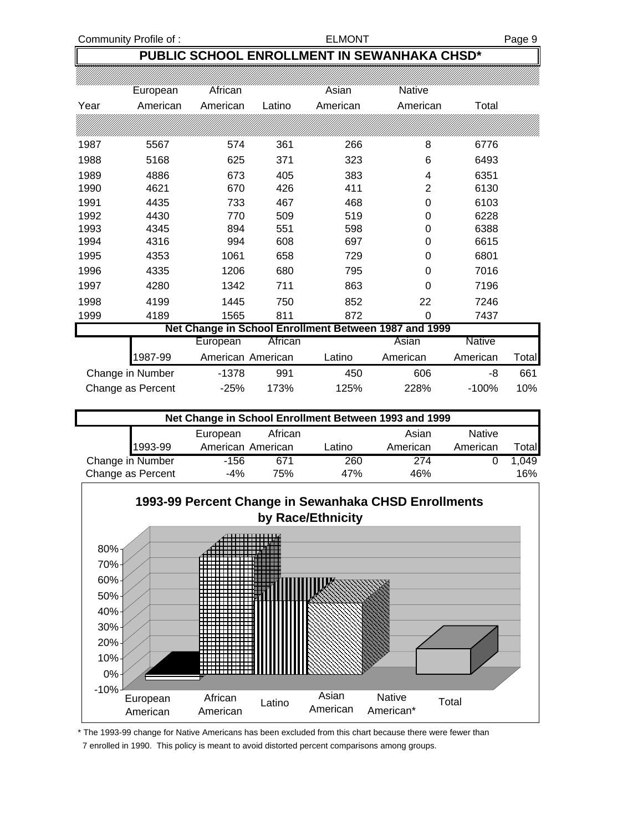Community Profile of : The Second School and School ELMONT Frage 9

## **PUBLIC SCHOOL ENROLLMENT IN SEWANHAKA CHSD\***

|      | European          | African           |         | Asian    | Native                                                |               |       |
|------|-------------------|-------------------|---------|----------|-------------------------------------------------------|---------------|-------|
| Year | American          | American          | Latino  | American | American                                              | Total         |       |
|      |                   |                   |         |          |                                                       |               |       |
| 1987 | 5567              | 574               | 361     | 266      | 8                                                     | 6776          |       |
| 1988 | 5168              | 625               | 371     | 323      | 6                                                     | 6493          |       |
| 1989 | 4886              | 673               | 405     | 383      | 4                                                     | 6351          |       |
| 1990 | 4621              | 670               | 426     | 411      | $\overline{2}$                                        | 6130          |       |
| 1991 | 4435              | 733               | 467     | 468      | 0                                                     | 6103          |       |
| 1992 | 4430              | 770               | 509     | 519      | 0                                                     | 6228          |       |
| 1993 | 4345              | 894               | 551     | 598      | 0                                                     | 6388          |       |
| 1994 | 4316              | 994               | 608     | 697      | 0                                                     | 6615          |       |
| 1995 | 4353              | 1061              | 658     | 729      | 0                                                     | 6801          |       |
| 1996 | 4335              | 1206              | 680     | 795      | 0                                                     | 7016          |       |
| 1997 | 4280              | 1342              | 711     | 863      | 0                                                     | 7196          |       |
| 1998 | 4199              | 1445              | 750     | 852      | 22                                                    | 7246          |       |
| 1999 | 4189              | 1565              | 811     | 872      | 0                                                     | 7437          |       |
|      |                   |                   |         |          | Net Change in School Enrollment Between 1987 and 1999 |               |       |
|      |                   | European          | African |          | Asian                                                 | <b>Native</b> |       |
|      | 1987-99           | American American |         | Latino   | American                                              | American      | Total |
|      | Change in Number  | $-1378$           | 991     | 450      | 606                                                   | -8            | 661   |
|      | Change as Percent | $-25%$            | 173%    | 125%     | 228%                                                  | $-100%$       | 10%   |

| Net Change in School Enrollment Between 1993 and 1999 |                   |         |        |          |               |        |  |  |
|-------------------------------------------------------|-------------------|---------|--------|----------|---------------|--------|--|--|
|                                                       | European          | African |        | Asian    | <b>Native</b> |        |  |  |
| 1993-99                                               | American American |         | Latino | American | American      | Totall |  |  |
| Change in Number                                      | -156              | 671     | 260    | 274      |               | 1.049  |  |  |
| Change as Percent                                     | $-4%$             | 75%     | 47%    | 46%      |               | 16%    |  |  |

#### **1993-99 Percent Change in Sewanhaka CHSD Enrollments by Race/Ethnicity**



\* The 1993-99 change for Native Americans has been excluded from this chart because there were fewer than 7 enrolled in 1990. This policy is meant to avoid distorted percent comparisons among groups.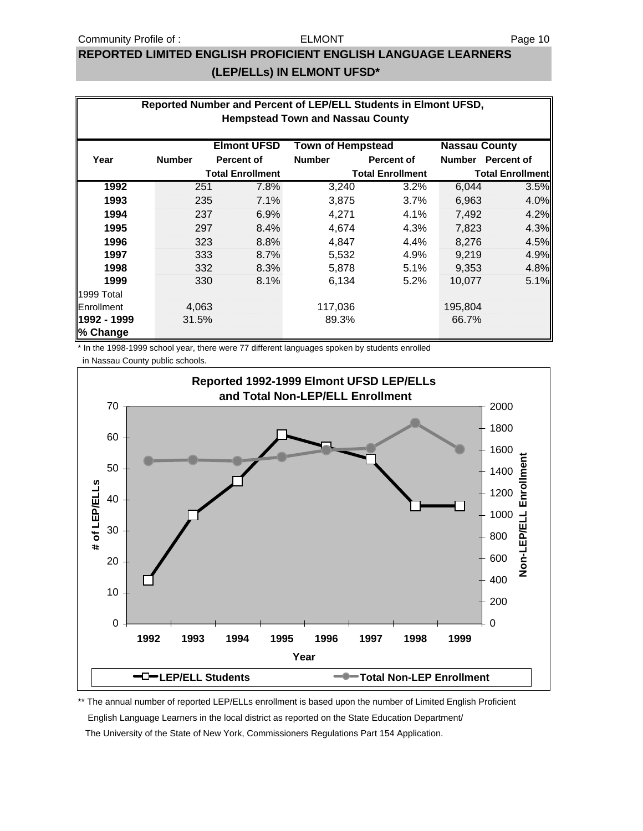#### ELMONT

### **REPORTED LIMITED ENGLISH PROFICIENT ENGLISH LANGUAGE LEARNERS (LEP/ELLs) IN ELMONT UFSD\***

| Reported Number and Percent of LEP/ELL Students in Elmont UFSD,<br><b>Hempstead Town and Nassau County</b> |               |     |                                                                    |                                           |                                              |                                       |                                              |  |  |  |  |
|------------------------------------------------------------------------------------------------------------|---------------|-----|--------------------------------------------------------------------|-------------------------------------------|----------------------------------------------|---------------------------------------|----------------------------------------------|--|--|--|--|
| Year                                                                                                       | <b>Number</b> |     | <b>Elmont UFSD</b><br><b>Percent of</b><br><b>Total Enrollment</b> | <b>Town of Hempstead</b><br><b>Number</b> | <b>Percent of</b><br><b>Total Enrollment</b> | <b>Nassau County</b><br><b>Number</b> | <b>Percent of</b><br><b>Total Enrollment</b> |  |  |  |  |
| 1992                                                                                                       |               | 251 | 7.8%                                                               | 3,240                                     | 3.2%                                         | 6,044                                 | 3.5%                                         |  |  |  |  |
| 1993                                                                                                       |               | 235 | 7.1%                                                               | 3,875                                     | 3.7%                                         | 6,963                                 | 4.0%                                         |  |  |  |  |
| 1994                                                                                                       |               | 237 | 6.9%                                                               | 4,271                                     | 4.1%                                         | 7,492                                 | 4.2%                                         |  |  |  |  |
| 1995                                                                                                       |               | 297 | 8.4%                                                               | 4,674                                     | 4.3%                                         | 7,823                                 | 4.3%                                         |  |  |  |  |
| 1996                                                                                                       |               | 323 | 8.8%                                                               | 4.847                                     | $4.4\%$                                      | 8.276                                 | 4.5%                                         |  |  |  |  |
| 1997                                                                                                       |               | 333 | 8.7%                                                               | 5,532                                     | 4.9%                                         | 9,219                                 | 4.9%                                         |  |  |  |  |
| 1998                                                                                                       |               | 332 | 8.3%                                                               | 5,878                                     | 5.1%                                         | 9,353                                 | 4.8%                                         |  |  |  |  |
| 1999                                                                                                       |               | 330 | 8.1%                                                               | 6,134                                     | 5.2%                                         | 10,077                                | 5.1%                                         |  |  |  |  |
| 1999 Total                                                                                                 |               |     |                                                                    |                                           |                                              |                                       |                                              |  |  |  |  |
| Enrollment                                                                                                 | 4,063         |     |                                                                    | 117,036                                   |                                              | 195,804                               |                                              |  |  |  |  |
| 1992 - 1999<br>% Change                                                                                    | 31.5%         |     |                                                                    | 89.3%                                     |                                              | 66.7%                                 |                                              |  |  |  |  |

\* In the 1998-1999 school year, there were 77 different languages spoken by students enrolled

in Nassau County public schools.



\*\* The annual number of reported LEP/ELLs enrollment is based upon the number of Limited English Proficient English Language Learners in the local district as reported on the State Education Department/ The University of the State of New York, Commissioners Regulations Part 154 Application.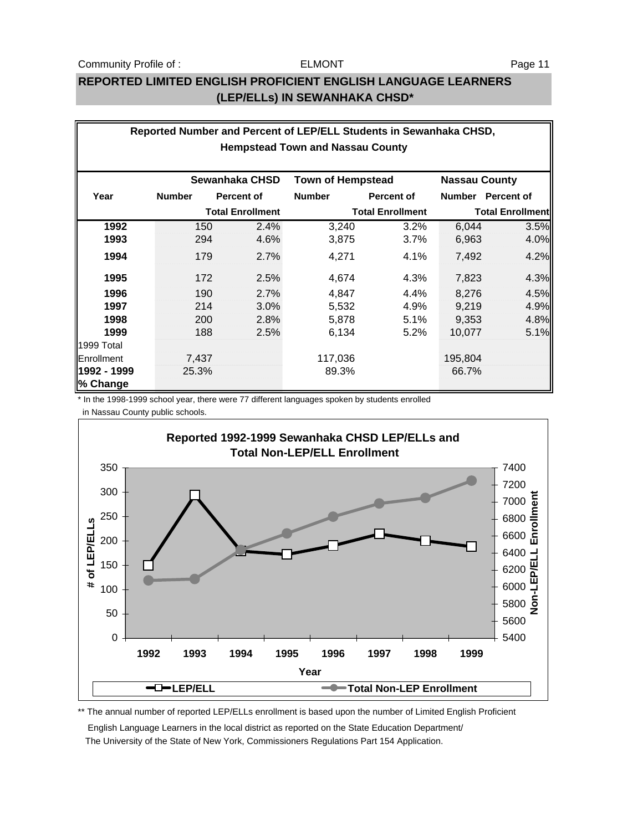#### **REPORTED LIMITED ENGLISH PROFICIENT ENGLISH LANGUAGE LEARNERS (LEP/ELLs) IN SEWANHAKA CHSD\***

| Reported Number and Percent of LEP/ELL Students in Sewanhaka CHSD, |                                                                    |                         |               |                         |               |                         |  |  |  |  |  |
|--------------------------------------------------------------------|--------------------------------------------------------------------|-------------------------|---------------|-------------------------|---------------|-------------------------|--|--|--|--|--|
| <b>Hempstead Town and Nassau County</b>                            |                                                                    |                         |               |                         |               |                         |  |  |  |  |  |
|                                                                    |                                                                    |                         |               |                         |               |                         |  |  |  |  |  |
|                                                                    | Sewanhaka CHSD<br><b>Nassau County</b><br><b>Town of Hempstead</b> |                         |               |                         |               |                         |  |  |  |  |  |
| Year                                                               | <b>Number</b>                                                      | <b>Percent of</b>       | <b>Number</b> | <b>Percent of</b>       | <b>Number</b> | <b>Percent of</b>       |  |  |  |  |  |
|                                                                    |                                                                    | <b>Total Enrollment</b> |               | <b>Total Enrollment</b> |               | <b>Total Enrollment</b> |  |  |  |  |  |
| 1992                                                               | 150                                                                | 2.4%                    | 3,240         | 3.2%                    | 6,044         | 3.5%                    |  |  |  |  |  |
| 1993                                                               | 294                                                                | 4.6%                    | 3,875         | 3.7%                    | 6,963         | 4.0%                    |  |  |  |  |  |
| 1994                                                               | 179                                                                | 2.7%                    | 4,271         | 4.1%                    | 7,492         | 4.2%                    |  |  |  |  |  |
| 1995                                                               | 172                                                                | 2.5%                    | 4,674         | 4.3%                    | 7,823         | 4.3%                    |  |  |  |  |  |
| 1996                                                               | 190                                                                | 2.7%                    | 4,847         | 4.4%                    | 8,276         | 4.5%                    |  |  |  |  |  |
| 1997                                                               | 214                                                                | 3.0%                    | 5,532         | 4.9%                    | 9,219         | 4.9%                    |  |  |  |  |  |
| 1998                                                               | 200                                                                | 2.8%                    | 5,878         | 5.1%                    | 9,353         | 4.8%                    |  |  |  |  |  |
| 1999                                                               | 188                                                                | 2.5%                    | 6,134         | 5.2%                    | 10,077        | 5.1%                    |  |  |  |  |  |
| 1999 Total                                                         |                                                                    |                         |               |                         |               |                         |  |  |  |  |  |
| Enrollment                                                         | 7,437                                                              |                         | 117,036       |                         | 195,804       |                         |  |  |  |  |  |
| 1992 - 1999                                                        | 25.3%                                                              |                         | 89.3%         |                         | 66.7%         |                         |  |  |  |  |  |
| % Change                                                           |                                                                    |                         |               |                         |               |                         |  |  |  |  |  |

\* In the 1998-1999 school year, there were 77 different languages spoken by students enrolled

in Nassau County public schools.



\*\* The annual number of reported LEP/ELLs enrollment is based upon the number of Limited English Proficient English Language Learners in the local district as reported on the State Education Department/

The University of the State of New York, Commissioners Regulations Part 154 Application.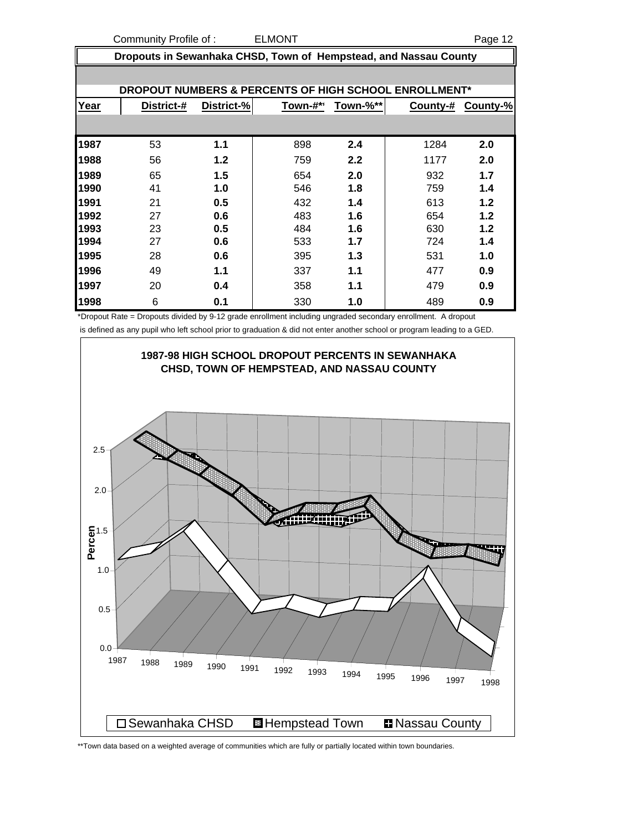Community Profile of : CLMONT And Community Profile of : CLMONT And Page 12

**Dropouts in Sewanhaka CHSD, Town of Hempstead, and Nassau County DROPOUT NUMBERS & PERCENTS OF HIGH SCHOOL ENROLLMENT\* Year District-# District-% Town-#\*\* Town-%\*\* County-# County-%** 53 **1.1** 898 **2.4** 1284 **2.0** 56 **1.2** 759 **2.2** 1177 **2.0** 65 **1.5** 654 **2.0** 932 **1.7** 41 **1.0** 546 **1.8** 759 **1.4** 21 **0.5** 432 **1.4** 613 **1.2** 27 **0.6** 483 **1.6** 654 **1.2** 23 **0.5** 484 **1.6** 630 **1.2** 27 **0.6** 533 **1.7** 724 **1.4** 28 **0.6** 395 **1.3** 531 **1.0** 49 **1.1** 337 **1.1** 477 **0.9** 20 **0.4** 358 **1.1** 479 **0.9** 6 **0.1** 330 **1.0** 489 **0.9**

\*Dropout Rate = Dropouts divided by 9-12 grade enrollment including ungraded secondary enrollment. A dropout is defined as any pupil who left school prior to graduation & did not enter another school or program leading to a GED.



\*\*Town data based on a weighted average of communities which are fully or partially located within town boundaries.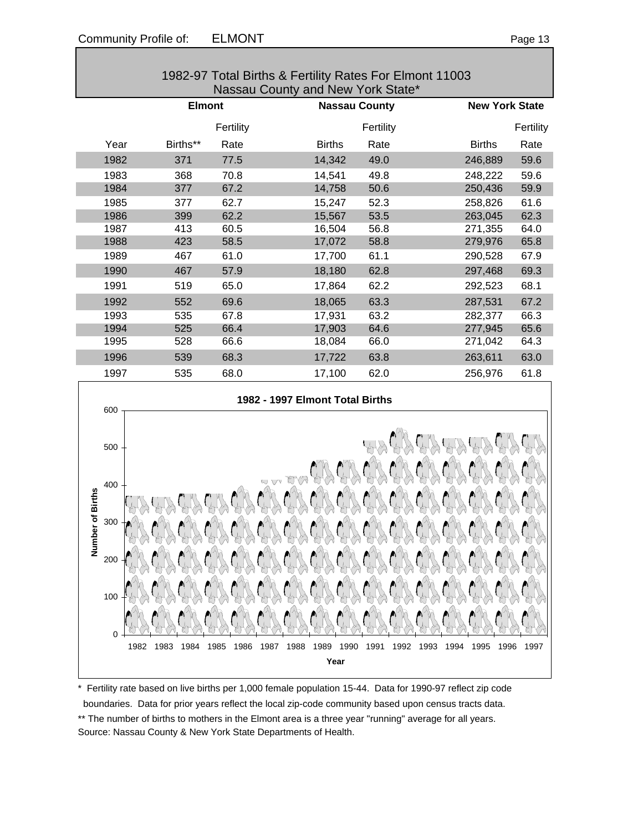| 1982-97 Total Births & Fertility Rates For Elmont 11003<br>Nassau County and New York State* |                      |              |                                 |                      |              |              |                       |              |  |  |
|----------------------------------------------------------------------------------------------|----------------------|--------------|---------------------------------|----------------------|--------------|--------------|-----------------------|--------------|--|--|
|                                                                                              | <b>Elmont</b>        |              |                                 | <b>Nassau County</b> |              |              | <b>New York State</b> |              |  |  |
|                                                                                              |                      | Fertility    |                                 |                      | Fertility    |              |                       | Fertility    |  |  |
| Year                                                                                         | Births**             | Rate         |                                 | <b>Births</b>        | Rate         |              | <b>Births</b>         | Rate         |  |  |
| 1982                                                                                         | 371                  | 77.5         |                                 | 14,342               | 49.0         |              | 246,889               | 59.6         |  |  |
| 1983                                                                                         | 368                  | 70.8         |                                 | 14,541               | 49.8         |              | 248,222               | 59.6         |  |  |
| 1984                                                                                         | 377                  | 67.2         |                                 | 14,758               | 50.6         |              | 250,436               | 59.9         |  |  |
| 1985                                                                                         | 377                  | 62.7         |                                 | 15,247               | 52.3         |              | 258,826               | 61.6         |  |  |
| 1986                                                                                         | 399                  | 62.2         |                                 | 15,567               | 53.5         |              | 263,045               | 62.3         |  |  |
| 1987                                                                                         | 413                  | 60.5         |                                 | 16,504               | 56.8         |              | 271,355               | 64.0         |  |  |
| 1988                                                                                         | 423                  | 58.5         |                                 | 17,072               | 58.8         |              | 279,976               | 65.8         |  |  |
| 1989                                                                                         | 467                  | 61.0         |                                 | 17,700               | 61.1         |              | 290,528               | 67.9         |  |  |
| 1990                                                                                         | 467                  | 57.9         |                                 | 18,180               | 62.8         |              | 297,468               | 69.3         |  |  |
| 1991                                                                                         | 519                  | 65.0         |                                 | 17,864               | 62.2         |              | 292,523               | 68.1         |  |  |
| 1992                                                                                         | 552                  | 69.6         |                                 | 18,065               | 63.3         |              | 287,531               | 67.2         |  |  |
| 1993                                                                                         | 535                  | 67.8         |                                 | 17,931               | 63.2         |              | 282,377               | 66.3         |  |  |
| 1994                                                                                         | 525                  | 66.4         |                                 | 17,903               | 64.6         |              | 277,945               | 65.6         |  |  |
| 1995                                                                                         | 528                  | 66.6         |                                 | 18,084               | 66.0         |              | 271,042               | 64.3         |  |  |
| 1996                                                                                         | 539                  | 68.3         |                                 | 17,722               | 63.8         |              | 263,611               | 63.0         |  |  |
| 1997                                                                                         | 535                  | 68.0         |                                 | 17,100               | 62.0         |              | 256,976               | 61.8         |  |  |
| 600<br>500<br>400<br>nber of Births<br>300<br>Ē<br>200<br>100                                |                      |              | 1982 - 1997 Elmont Total Births |                      |              |              |                       |              |  |  |
| 0                                                                                            | 1983<br>1984<br>1982 | 1985<br>1986 | 1987<br>1988                    | 1990<br>1989<br>Year | 1991<br>1992 | 1993<br>1994 | 1995                  | 1996<br>1997 |  |  |
|                                                                                              |                      |              |                                 |                      |              |              |                       |              |  |  |

\* Fertility rate based on live births per 1,000 female population 15-44. Data for 1990-97 reflect zip code boundaries. Data for prior years reflect the local zip-code community based upon census tracts data.

<sup>\*\*</sup> The number of births to mothers in the Elmont area is a three year "running" average for all years. Source: Nassau County & New York State Departments of Health.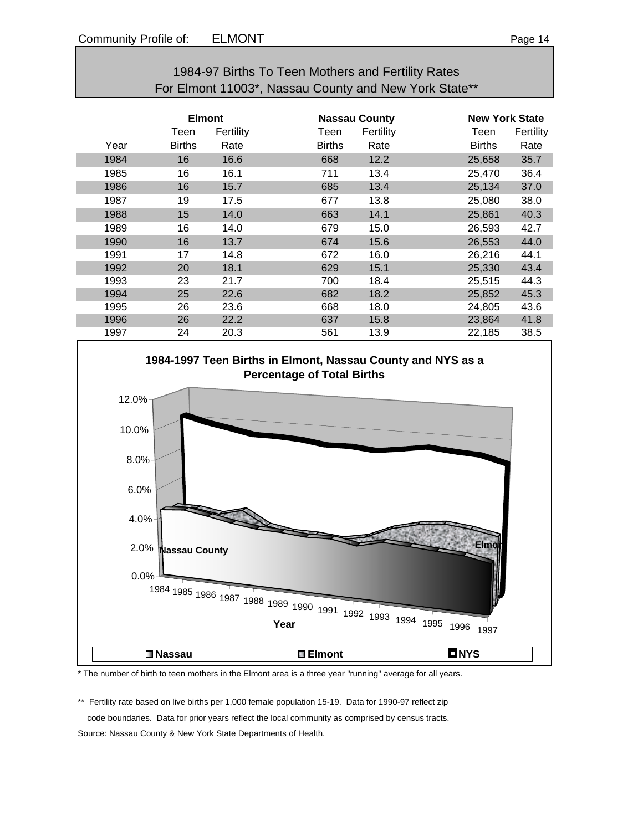#### 1984-97 Births To Teen Mothers and Fertility Rates For Elmont 11003\*, Nassau County and New York State\*\*

|      | <b>Elmont</b> |           |               | <b>Nassau County</b> |               | <b>New York State</b> |  |
|------|---------------|-----------|---------------|----------------------|---------------|-----------------------|--|
|      | Teen          | Fertility | Teen          | Fertility            | Teen          | Fertility             |  |
| Year | <b>Births</b> | Rate      | <b>Births</b> | Rate                 | <b>Births</b> | Rate                  |  |
| 1984 | 16            | 16.6      | 668           | 12.2                 | 25,658        | 35.7                  |  |
| 1985 | 16            | 16.1      | 711           | 13.4                 | 25,470        | 36.4                  |  |
| 1986 | 16            | 15.7      | 685           | 13.4                 | 25,134        | 37.0                  |  |
| 1987 | 19            | 17.5      | 677           | 13.8                 | 25,080        | 38.0                  |  |
| 1988 | 15            | 14.0      | 663           | 14.1                 | 25,861        | 40.3                  |  |
| 1989 | 16            | 14.0      | 679           | 15.0                 | 26,593        | 42.7                  |  |
| 1990 | 16            | 13.7      | 674           | 15.6                 | 26,553        | 44.0                  |  |
| 1991 | 17            | 14.8      | 672           | 16.0                 | 26,216        | 44.1                  |  |
| 1992 | 20            | 18.1      | 629           | 15.1                 | 25,330        | 43.4                  |  |
| 1993 | 23            | 21.7      | 700           | 18.4                 | 25,515        | 44.3                  |  |
| 1994 | 25            | 22.6      | 682           | 18.2                 | 25,852        | 45.3                  |  |
| 1995 | 26            | 23.6      | 668           | 18.0                 | 24.805        | 43.6                  |  |
| 1996 | 26            | 22.2      | 637           | 15.8                 | 23,864        | 41.8                  |  |
| 1997 | 24            | 20.3      | 561           | 13.9                 | 22,185        | 38.5                  |  |



\* The number of birth to teen mothers in the Elmont area is a three year "running" average for all years.

\*\* Fertility rate based on live births per 1,000 female population 15-19. Data for 1990-97 reflect zip code boundaries. Data for prior years reflect the local community as comprised by census tracts. Source: Nassau County & New York State Departments of Health.